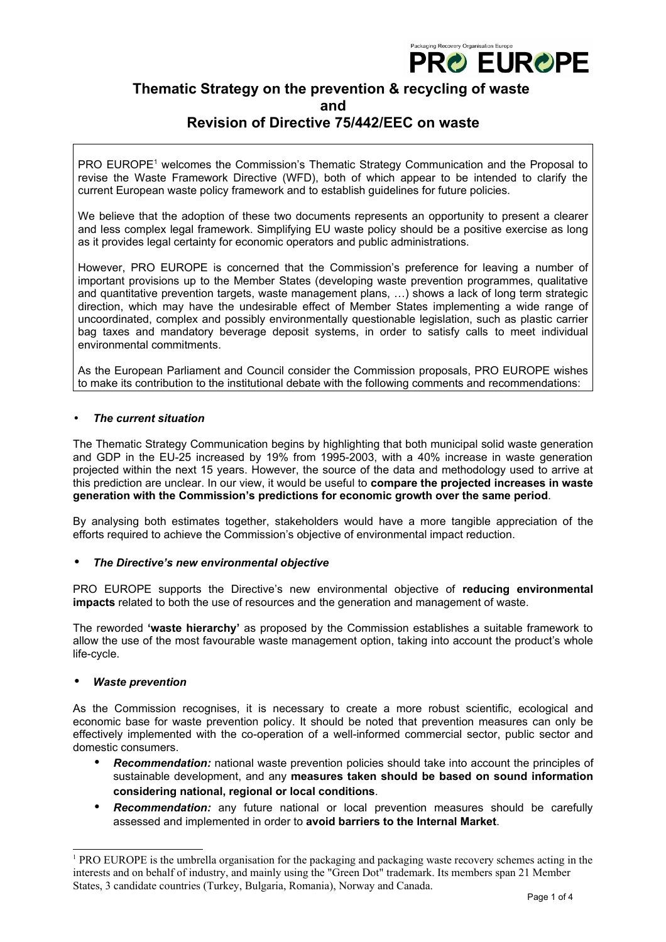

# **Thematic Strategy on the prevention & recycling of waste and**

# **Revision of Directive 75/442/EEC on waste**

PRO EUROPE<sup>[1](#page-0-0)</sup> welcomes the Commission's Thematic Strategy Communication and the Proposal to revise the Waste Framework Directive (WFD), both of which appear to be intended to clarify the current European waste policy framework and to establish guidelines for future policies.

We believe that the adoption of these two documents represents an opportunity to present a clearer and less complex legal framework. Simplifying EU waste policy should be a positive exercise as long as it provides legal certainty for economic operators and public administrations.

However, PRO EUROPE is concerned that the Commission's preference for leaving a number of important provisions up to the Member States (developing waste prevention programmes, qualitative and quantitative prevention targets, waste management plans, …) shows a lack of long term strategic direction, which may have the undesirable effect of Member States implementing a wide range of uncoordinated, complex and possibly environmentally questionable legislation, such as plastic carrier bag taxes and mandatory beverage deposit systems, in order to satisfy calls to meet individual environmental commitments.

As the European Parliament and Council consider the Commission proposals, PRO EUROPE wishes to make its contribution to the institutional debate with the following comments and recommendations:

## • *The current situation*

The Thematic Strategy Communication begins by highlighting that both municipal solid waste generation and GDP in the EU-25 increased by 19% from 1995-2003, with a 40% increase in waste generation projected within the next 15 years. However, the source of the data and methodology used to arrive at this prediction are unclear. In our view, it would be useful to **compare the projected increases in waste generation with the Commission's predictions for economic growth over the same period**.

By analysing both estimates together, stakeholders would have a more tangible appreciation of the efforts required to achieve the Commission's objective of environmental impact reduction.

# • *The Directive's new environmental objective*

PRO EUROPE supports the Directive's new environmental objective of **reducing environmental impacts** related to both the use of resources and the generation and management of waste.

The reworded **'waste hierarchy'** as proposed by the Commission establishes a suitable framework to allow the use of the most favourable waste management option, taking into account the product's whole life-cycle.

# • *Waste prevention*

As the Commission recognises, it is necessary to create a more robust scientific, ecological and economic base for waste prevention policy. It should be noted that prevention measures can only be effectively implemented with the co-operation of a well-informed commercial sector, public sector and domestic consumers.

- *Recommendation:* national waste prevention policies should take into account the principles of sustainable development, and any **measures taken should be based on sound information considering national, regional or local conditions**.
- *Recommendation:* any future national or local prevention measures should be carefully assessed and implemented in order to **avoid barriers to the Internal Market**.

<span id="page-0-0"></span><sup>1</sup> PRO EUROPE is the umbrella organisation for the packaging and packaging waste recovery schemes acting in the interests and on behalf of industry, and mainly using the "Green Dot" trademark. Its members span 21 Member States, 3 candidate countries (Turkey, Bulgaria, Romania), Norway and Canada.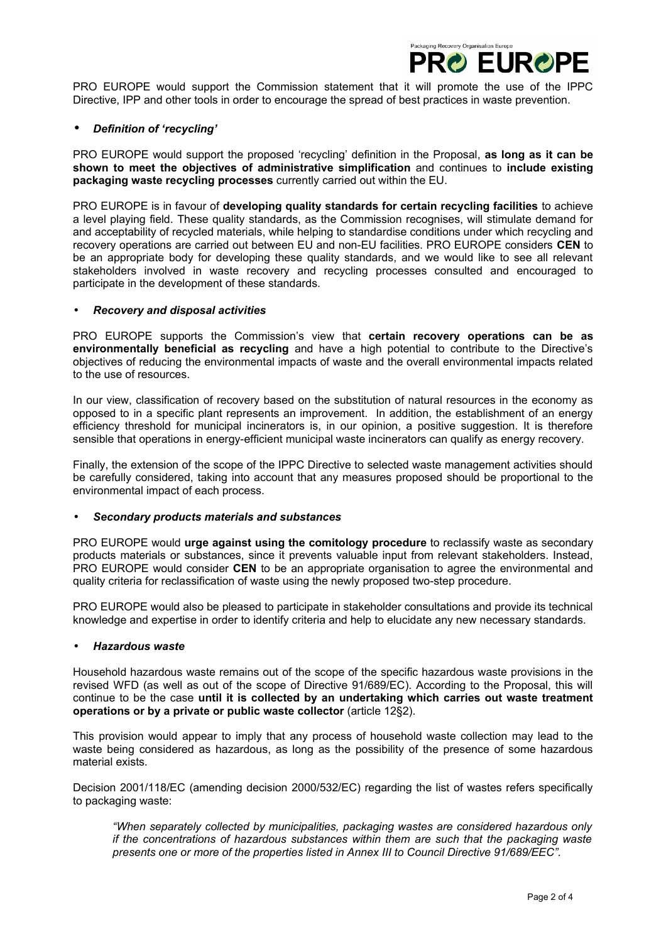

PRO EUROPE would support the Commission statement that it will promote the use of the IPPC Directive, IPP and other tools in order to encourage the spread of best practices in waste prevention.

### • *Definition of 'recycling'*

PRO EUROPE would support the proposed 'recycling' definition in the Proposal, **as long as it can be shown to meet the objectives of administrative simplification** and continues to **include existing packaging waste recycling processes** currently carried out within the EU.

PRO EUROPE is in favour of **developing quality standards for certain recycling facilities** to achieve a level playing field. These quality standards, as the Commission recognises, will stimulate demand for and acceptability of recycled materials, while helping to standardise conditions under which recycling and recovery operations are carried out between EU and non-EU facilities. PRO EUROPE considers **CEN** to be an appropriate body for developing these quality standards, and we would like to see all relevant stakeholders involved in waste recovery and recycling processes consulted and encouraged to participate in the development of these standards.

#### • *Recovery and disposal activities*

PRO EUROPE supports the Commission's view that **certain recovery operations can be as environmentally beneficial as recycling** and have a high potential to contribute to the Directive's objectives of reducing the environmental impacts of waste and the overall environmental impacts related to the use of resources.

In our view, classification of recovery based on the substitution of natural resources in the economy as opposed to in a specific plant represents an improvement. In addition, the establishment of an energy efficiency threshold for municipal incinerators is, in our opinion, a positive suggestion. It is therefore sensible that operations in energy-efficient municipal waste incinerators can qualify as energy recovery.

Finally, the extension of the scope of the IPPC Directive to selected waste management activities should be carefully considered, taking into account that any measures proposed should be proportional to the environmental impact of each process.

#### • *Secondary products materials and substances*

PRO EUROPE would **urge against using the comitology procedure** to reclassify waste as secondary products materials or substances, since it prevents valuable input from relevant stakeholders. Instead, PRO EUROPE would consider **CEN** to be an appropriate organisation to agree the environmental and quality criteria for reclassification of waste using the newly proposed two-step procedure.

PRO EUROPE would also be pleased to participate in stakeholder consultations and provide its technical knowledge and expertise in order to identify criteria and help to elucidate any new necessary standards.

#### • *Hazardous waste*

Household hazardous waste remains out of the scope of the specific hazardous waste provisions in the revised WFD (as well as out of the scope of Directive 91/689/EC). According to the Proposal, this will continue to be the case **until it is collected by an undertaking which carries out waste treatment operations or by a private or public waste collector** (article 12§2).

This provision would appear to imply that any process of household waste collection may lead to the waste being considered as hazardous, as long as the possibility of the presence of some hazardous material exists.

Decision 2001/118/EC (amending decision 2000/532/EC) regarding the list of wastes refers specifically to packaging waste:

*"When separately collected by municipalities, packaging wastes are considered hazardous only if the concentrations of hazardous substances within them are such that the packaging waste presents one or more of the properties listed in Annex III to Council Directive 91/689/EEC".*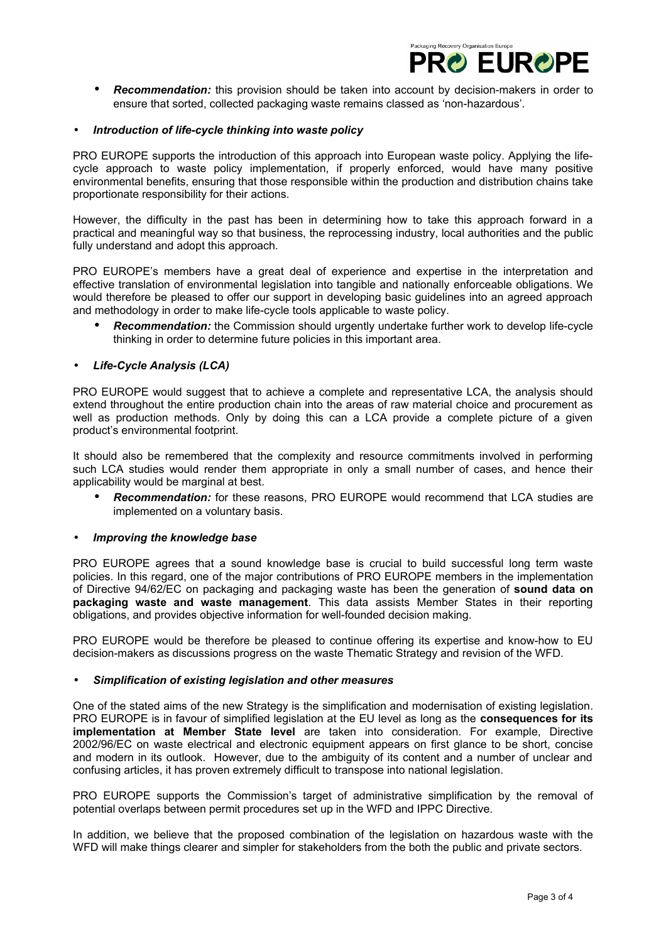

• *Recommendation:* this provision should be taken into account by decision-makers in order to ensure that sorted, collected packaging waste remains classed as 'non-hazardous'.

#### • *Introduction of life-cycle thinking into waste policy*

PRO EUROPE supports the introduction of this approach into European waste policy. Applying the lifecycle approach to waste policy implementation, if properly enforced, would have many positive environmental benefits, ensuring that those responsible within the production and distribution chains take proportionate responsibility for their actions.

However, the difficulty in the past has been in determining how to take this approach forward in a practical and meaningful way so that business, the reprocessing industry, local authorities and the public fully understand and adopt this approach.

PRO EUROPE's members have a great deal of experience and expertise in the interpretation and effective translation of environmental legislation into tangible and nationally enforceable obligations. We would therefore be pleased to offer our support in developing basic guidelines into an agreed approach and methodology in order to make life-cycle tools applicable to waste policy.

• *Recommendation:* the Commission should urgently undertake further work to develop life-cycle thinking in order to determine future policies in this important area.

#### • *Life-Cycle Analysis (LCA)*

PRO EUROPE would suggest that to achieve a complete and representative LCA, the analysis should extend throughout the entire production chain into the areas of raw material choice and procurement as well as production methods. Only by doing this can a LCA provide a complete picture of a given product's environmental footprint.

It should also be remembered that the complexity and resource commitments involved in performing such LCA studies would render them appropriate in only a small number of cases, and hence their applicability would be marginal at best.

• *Recommendation:* for these reasons, PRO EUROPE would recommend that LCA studies are implemented on a voluntary basis.

#### • *Improving the knowledge base*

PRO EUROPE agrees that a sound knowledge base is crucial to build successful long term waste policies. In this regard, one of the major contributions of PRO EUROPE members in the implementation of Directive 94/62/EC on packaging and packaging waste has been the generation of **sound data on packaging waste and waste management**. This data assists Member States in their reporting obligations, and provides objective information for well-founded decision making.

PRO EUROPE would be therefore be pleased to continue offering its expertise and know-how to EU decision-makers as discussions progress on the waste Thematic Strategy and revision of the WFD.

### • *Simplification of existing legislation and other measures*

One of the stated aims of the new Strategy is the simplification and modernisation of existing legislation. PRO EUROPE is in favour of simplified legislation at the EU level as long as the **consequences for its implementation at Member State level** are taken into consideration. For example, Directive 2002/96/EC on waste electrical and electronic equipment appears on first glance to be short, concise and modern in its outlook. However, due to the ambiguity of its content and a number of unclear and confusing articles, it has proven extremely difficult to transpose into national legislation.

PRO EUROPE supports the Commission's target of administrative simplification by the removal of potential overlaps between permit procedures set up in the WFD and IPPC Directive.

In addition, we believe that the proposed combination of the legislation on hazardous waste with the WFD will make things clearer and simpler for stakeholders from the both the public and private sectors.